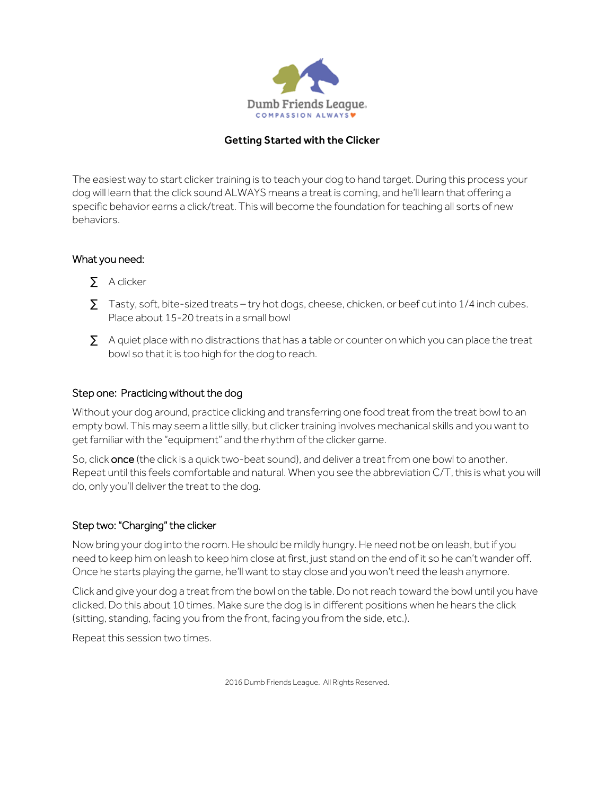

#### Getting Started with the Clicker

The easiest way to start clicker training is to teach your dog to hand target. During this process your dog will learn that the click sound ALWAYS means a treat is coming, and he'll learn that offering a specific behavior earns a click/treat. This will become the foundation for teaching all sorts of new behaviors.

### What you need:

- A clicker
- Tasty, soft, bite-sized treats try hot dogs, cheese, chicken, or beef cut into 1/4 inch cubes. Place about 15-20 treats in a small bowl
- · A quiet place with no distractions that has a table or counter on which you can place the treat bowl so that it is too high for the dog to reach.

## Step one: Practicing without the dog

Without your dog around, practice clicking and transferring one food treat from the treat bowl to an empty bowl. This may seem a little silly, but clicker training involves mechanical skills and you want to get familiar with the "equipment" and the rhythm of the clicker game.

So, click once (the click is a quick two-beat sound), and deliver a treat from one bowl to another. Repeat until this feels comfortable and natural. When you see the abbreviation C/T, this is what you will do, only you'll deliver the treat to the dog.

#### Step two: "Charging" the clicker

Now bring your dog into the room. He should be mildly hungry. He need not be on leash, butif you need to keep him on leash to keep him close at first, just stand on the end of it so he can't wander off. Once he starts playing the game, he'll want to stay close and you won't need the leash anymore.

Click and give your dog a treat from the bowl on the table. Do not reach toward the bowl until you have clicked. Do this about 10 times. Make sure the dog is in different positions when he hears the click (sitting, standing, facing you from the front, facing you from the side, etc.).

Repeat this session two times.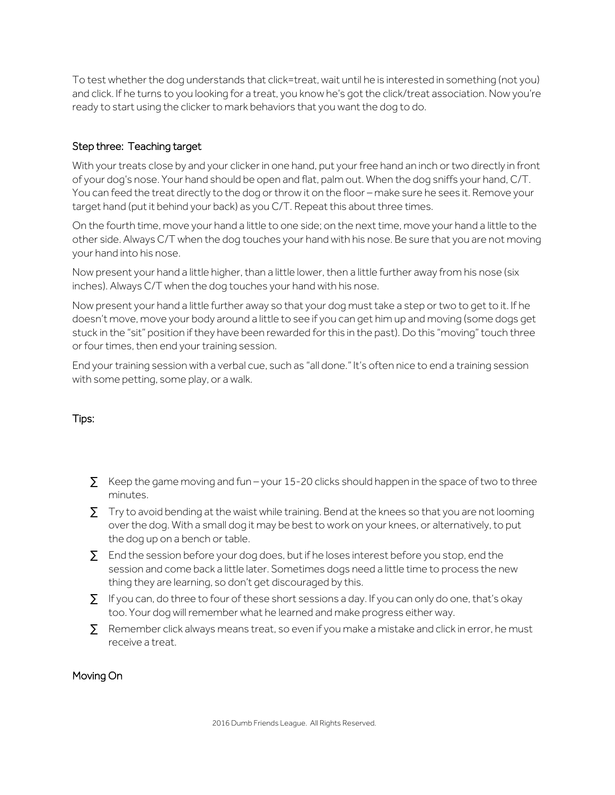To test whether the dog understands that click=treat, wait until he is interested in something (not you) and click. If he turns to you looking for a treat, you know he's got the click/treat association. Now you're ready to start using the clicker to mark behaviors that you want the dog to do.

# Step three: Teaching target

With your treats close by and your clicker in one hand, put your free hand an inch or two directly in front of your dog's nose. Your hand should be open and flat, palm out. When the dog sniffs your hand, C/T. You can feed the treat directly to the dog or throw it on the floor – make sure he sees it. Remove your target hand (put it behind your back) as you C/T. Repeat this about three times.

On the fourth time, move your hand a little to one side; on the next time, move your hand a little to the other side. Always C/T when the dog touches your hand with his nose. Be sure that you are not moving your hand into his nose.

Now present your hand a little higher, than a little lower, then a little further away from his nose (six inches). Always C/T when the dog touches your hand with his nose.

Now present your hand a little further away so that your dog must take a step or two to get to it. If he doesn't move, move your body around a little to see if you can get him up and moving (some dogs get stuck in the "sit" position if they have been rewarded for this in the past). Do this "moving" touch three or four times, then end your training session.

End your training session with a verbal cue, such as "all done." It's often nice to end a training session with some petting, some play, or a walk.

# Tips:

- $\cdot$  Keep the game moving and fun your 15-20 clicks should happen in the space of two to three minutes.
- · Try to avoid bending at the waist while training. Bend at the knees so that you are not looming over the dog. With a small dog it may be best to work on your knees, or alternatively, to put the dog up on a bench or table.
- · End the session before your dog does, but if he loses interest before you stop, end the session and come back a little later. Sometimes dogs need a little time to process the new thing they are learning, so don't get discouraged by this.
- · If you can, do three to four of these short sessions a day. If you can only do one, that's okay too. Your dog will remember what he learned and make progress either way.
- Remember click always means treat, so even if you make a mistake and click in error, he must receive a treat.

#### Moving On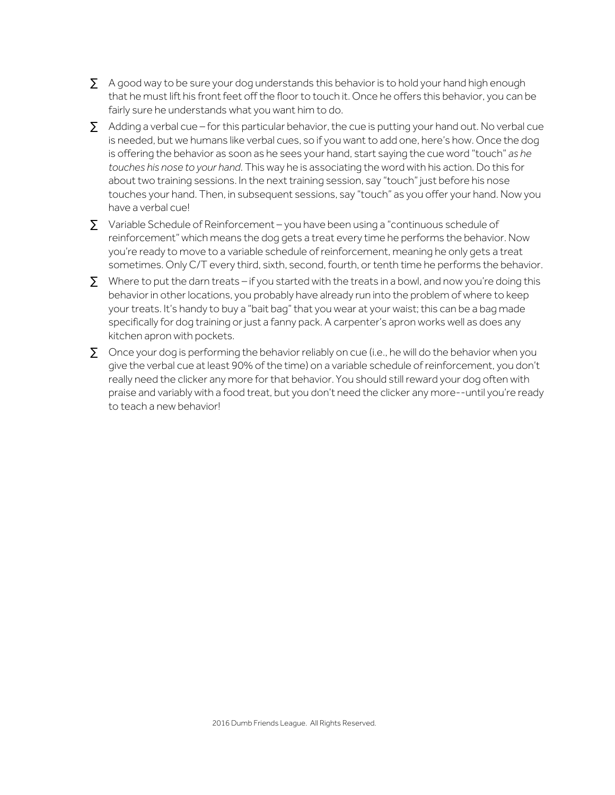- · A good way to be sure your dog understands this behavior is to hold your hand high enough that he must lift his front feet off the floor to touch it. Once he offers this behavior, you can be fairly sure he understands what you want him to do.
- Adding a verbal cue for this particular behavior, the cue is putting your hand out. No verbal cue is needed, but we humans like verbal cues, so if you want to add one, here's how. Once the dog is offering the behavior as soon as he sees your hand, start saying the cue word "touch" *as he touches his nose to your hand*. This way he is associating the word with his action. Do this for about two training sessions. In the next training session, say "touch" just before his nose touches your hand. Then, in subsequent sessions, say "touch" as you offer your hand. Now you have a verbal cue!
- · Variable Schedule of Reinforcement you have been using a "continuous schedule of reinforcement" which means the dog gets a treat every time he performs the behavior. Now you're ready to move to a variable schedule of reinforcement, meaning he only gets a treat sometimes. Only C/T every third, sixth, second, fourth, or tenth time he performs the behavior.
- Where to put the darn treats if you started with the treats in a bowl, and now you're doing this behavior in other locations, you probably have already run into the problem of where to keep your treats. It's handy to buy a "bait bag" that you wear at your waist; this can be a bag made specifically for dog training or just a fanny pack. A carpenter's apron works well as does any kitchen apron with pockets.
- · Once your dog is performing the behavior reliably on cue (i.e., he will do the behavior when you give the verbal cue at least 90% of the time) on a variable schedule of reinforcement, you don't really need the clicker any more for that behavior. You should still reward your dog often with praise and variably with a food treat, but you don't need the clicker any more--until you're ready to teach a new behavior!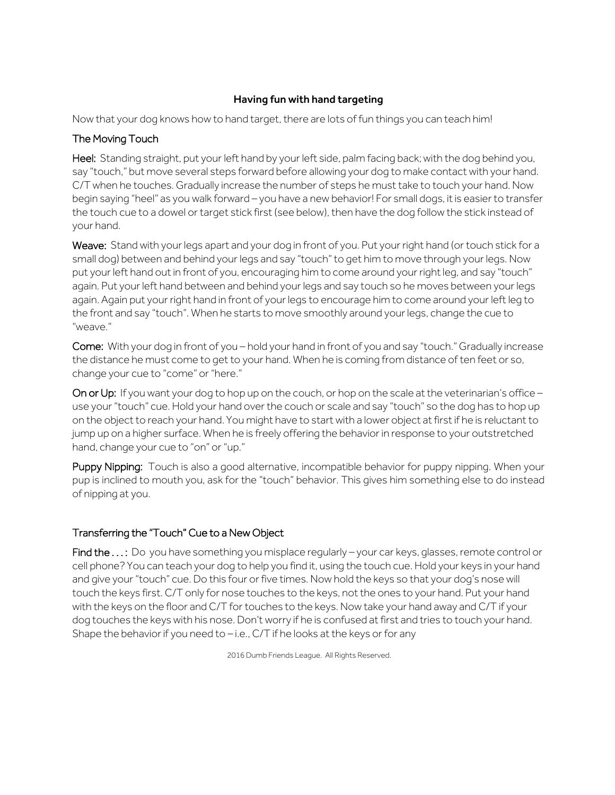## Having fun with hand targeting

Now that your dog knows how to hand target, there are lots of fun things you can teach him!

### The Moving Touch

Heel: Standing straight, put your left hand by your left side, palm facing back; with the dog behind you, say "touch," but move several steps forward before allowing your dog to make contact with your hand. C/T when he touches. Gradually increase the number of steps he must take to touch your hand. Now begin saying "heel" as you walk forward - you have a new behavior! For small dogs, it is easier to transfer the touch cue to a dowel or target stick first (see below), then have the dog follow the stick instead of your hand.

Weave: Stand with your legs apart and your dog in front of you. Put your right hand (or touch stick for a small dog) between and behind your legs and say "touch" to get him to move through your legs. Now put your left hand out in front of you, encouraging him to come around your right leg, and say "touch" again. Put your left hand between and behind your legs and say touch so he moves between your legs again. Again put your right hand in front of your legs to encourage him to come around your left leg to the front and say "touch". When he starts to move smoothly around your legs, change the cue to "weave."

Come: With your dog in front of you – hold your hand in front of you and say "touch." Gradually increase the distance he must come to get to your hand. When he is coming from distance of ten feet or so, change your cue to "come" or "here."

On or Up: If you want your dog to hop up on the couch, or hop on the scale at the veterinarian's office – use your "touch" cue. Hold your hand over the couch or scale and say "touch" so the dog has to hop up on the object to reach your hand. You might have to start with a lower object at firstif he is reluctant to jump up on a higher surface. When he is freely offering the behavior in response to your outstretched hand, change your cue to "on" or "up."

Puppy Nipping: Touch is also a good alternative, incompatible behavior for puppy nipping. When your pup is inclined to mouth you, ask for the "touch" behavior. This gives him something else to do instead of nipping at you.

# Transferring the "Touch" Cue to a New Object

Find the ...: Do you have something you misplace regularly – your car keys, glasses, remote control or cell phone? You can teach your dog to help you find it, using the touch cue. Hold your keys in your hand and give your "touch" cue. Do this four or five times. Now hold the keys so that your dog's nose will touch the keys first. C/T only for nose touches to the keys, not the ones to your hand. Put your hand with the keys on the floor and C/T for touches to the keys. Now take your hand away and C/T if your dog touches the keys with his nose. Don't worry if he is confused at first and tries to touch your hand. Shape the behavior if you need to – i.e., C/T if he looks at the keys or for any

2016 Dumb Friends League. All Rights Reserved.